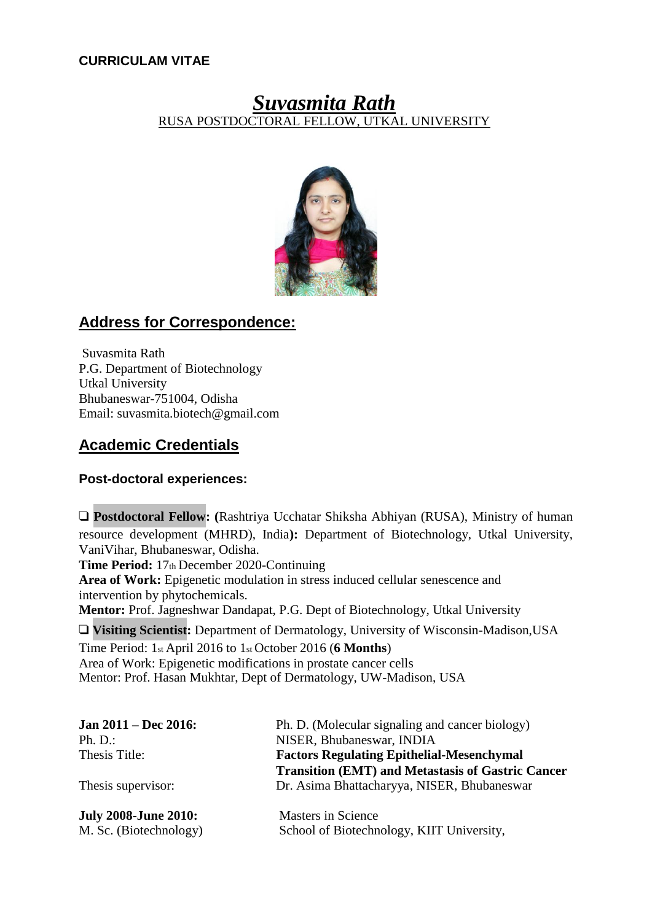### **CURRICULAM VITAE**

# *Suvasmita Rath* RUSA POSTDOCTORAL FELLOW, UTKAL UNIVERSITY



## **Address for Correspondence:**

Suvasmita Rath P.G. Department of Biotechnology Utkal University Bhubaneswar-751004, Odisha Email: [suvasmita.biotech@gmail.com](mailto:suvasmita.biotech@gmail.com)

## **Academic Credentials**

### **Post-doctoral experiences:**

❑ **Postdoctoral Fellow: (**Rashtriya Ucchatar Shiksha Abhiyan (RUSA), Ministry of human resource development (MHRD), India**):** Department of Biotechnology, Utkal University, VaniVihar, Bhubaneswar, Odisha.

**Time Period:** 17th December 2020-Continuing

**Area of Work:** Epigenetic modulation in stress induced cellular senescence and intervention by phytochemicals.

**Mentor:** Prof. Jagneshwar Dandapat, P.G. Dept of Biotechnology, Utkal University

❑ **Visiting Scientist:** Department of Dermatology, University of Wisconsin-Madison,USA

Time Period: 1st April 2016 to 1st October 2016 (**6 Months**) Area of Work: Epigenetic modifications in prostate cancer cells Mentor: Prof. Hasan Mukhtar, Dept of Dermatology, UW-Madison, USA

| Jan $2011 - Dec 2016$ :     | Ph. D. (Molecular signaling and cancer biology)          |
|-----------------------------|----------------------------------------------------------|
| Ph. D.                      | NISER, Bhubaneswar, INDIA                                |
| Thesis Title:               | <b>Factors Regulating Epithelial-Mesenchymal</b>         |
|                             | <b>Transition (EMT) and Metastasis of Gastric Cancer</b> |
| Thesis supervisor:          | Dr. Asima Bhattacharyya, NISER, Bhubaneswar              |
| <b>July 2008-June 2010:</b> | <b>Masters in Science</b>                                |
| M. Sc. (Biotechnology)      | School of Biotechnology, KIIT University,                |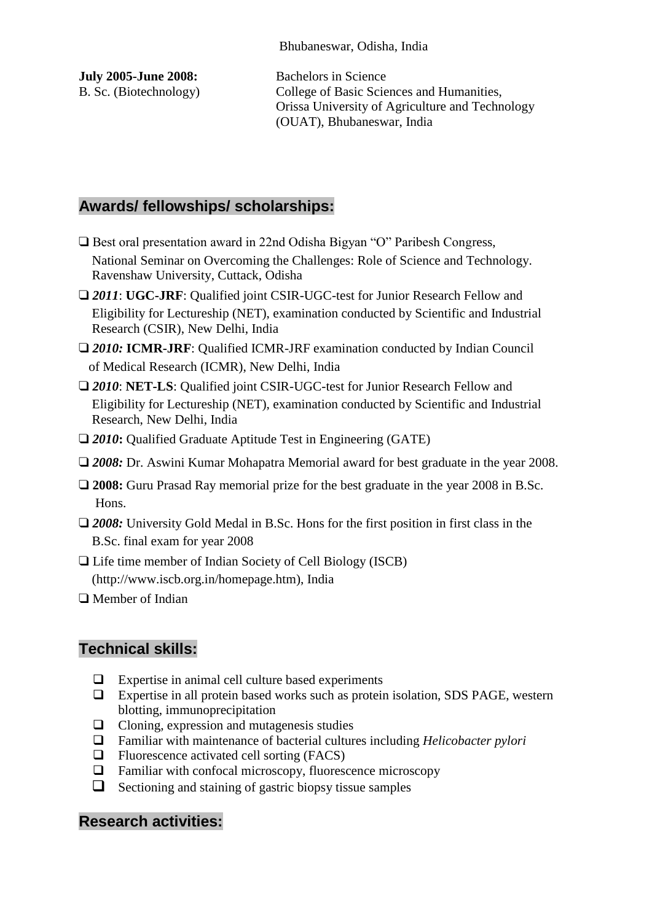Bhubaneswar, Odisha, India

| <b>July 2005-June 2008:</b> |  |
|-----------------------------|--|
| B. Sc. (Biotechnology)      |  |

Bachelors in Science College of Basic Sciences and Humanities, Orissa University of Agriculture and Technology (OUAT), Bhubaneswar, India

# **Awards/ fellowships/ scholarships:**

- ❑ Best oral presentation award in 22nd Odisha Bigyan "O" Paribesh Congress, National Seminar on Overcoming the Challenges: Role of Science and Technology. Ravenshaw University, Cuttack, Odisha
- ❑ *2011*: **UGC-JRF**: Qualified joint CSIR-UGC-test for Junior Research Fellow and Eligibility for Lectureship (NET), examination conducted by Scientific and Industrial Research (CSIR), New Delhi, India
- ❑ *2010:* **ICMR-JRF**: Qualified ICMR-JRF examination conducted by Indian Council of Medical Research (ICMR), New Delhi, India
- □ 2010: **NET-LS**: Qualified joint CSIR-UGC-test for Junior Research Fellow and Eligibility for Lectureship (NET), examination conducted by Scientific and Industrial Research, New Delhi, India
- □ 2010**:** Oualified Graduate Aptitude Test in Engineering (GATE)
- ❑ *2008:* Dr. Aswini Kumar Mohapatra Memorial award for best graduate in the year 2008.
- ❑ **2008:** Guru Prasad Ray memorial prize for the best graduate in the year 2008 in B.Sc. Hons.
- □ 2008: University Gold Medal in B.Sc. Hons for the first position in first class in the B.Sc. final exam for year 2008
- ❑ Life time member of Indian Society of Cell Biology (ISCB) (http://www.iscb.org.in/homepage.htm), India
- ❑ Member of Indian

## **Technical skills:**

- $\Box$  Expertise in animal cell culture based experiments
- Expertise in all protein based works such as protein isolation, SDS PAGE, western blotting, immunoprecipitation
- $\Box$  Cloning, expression and mutagenesis studies
- Familiar with maintenance of bacterial cultures including *Helicobacter pylori*
- $\Box$  Fluorescence activated cell sorting (FACS)
- Familiar with confocal microscopy, fluorescence microscopy
- $\Box$  Sectioning and staining of gastric biopsy tissue samples

## **Research activities:**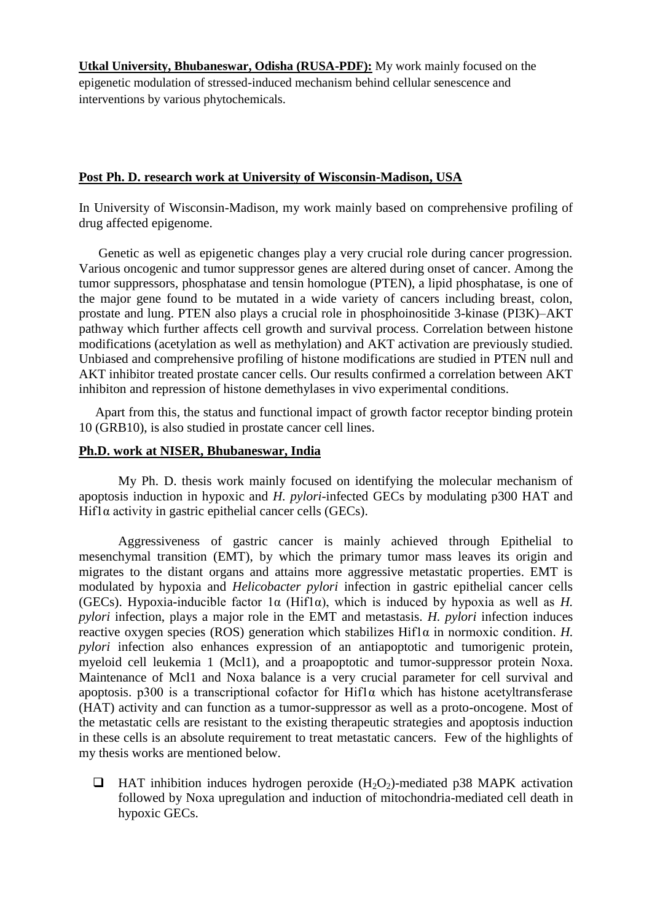**Utkal University, Bhubaneswar, Odisha (RUSA-PDF):** My work mainly focused on the epigenetic modulation of stressed-induced mechanism behind cellular senescence and interventions by various phytochemicals.

#### **Post Ph. D. research work at University of Wisconsin-Madison, USA**

In University of Wisconsin-Madison, my work mainly based on comprehensive profiling of drug affected epigenome.

 Genetic as well as epigenetic changes play a very crucial role during cancer progression. Various oncogenic and tumor suppressor genes are altered during onset of cancer. Among the tumor suppressors, phosphatase and tensin homologue [\(PTEN\)](http://topics.sciencedirect.com/topics/page/PTEN_(gene)), a lipid phosphatase, is one of the major gene found to be mutated in a wide variety of cancers including breast, colon, [prostate](http://topics.sciencedirect.com/topics/page/Prostate) and lung. PTEN also plays a crucial role in phosphoinositide 3-kinase (PI3K)–AKT pathway which further affects cell growth and survival process. Correlation between histone modifications (acetylation as well as methylation) and AKT activation are previously studied. Unbiased and comprehensive profiling of histone modifications are studied in PTEN null and AKT inhibitor treated prostate cancer cells. Our results confirmed a correlation between AKT inhibiton and repression of histone demethylases in vivo experimental conditions.

 Apart from this, the status and functional impact of growth factor receptor binding protein 10 (GRB10), is also studied in prostate cancer cell lines.

#### **Ph.D. work at NISER, Bhubaneswar, India**

My Ph. D. thesis work mainly focused on identifying the molecular mechanism of apoptosis induction in hypoxic and *H. pylori*-infected GECs by modulating p300 HAT and Hif1 $\alpha$  activity in gastric epithelial cancer cells (GECs).

 Aggressiveness of gastric cancer is mainly achieved through Epithelial to mesenchymal transition (EMT), by which the primary tumor mass leaves its origin and migrates to the distant organs and attains more aggressive metastatic properties. EMT is modulated by hypoxia and *Helicobacter pylori* infection in gastric epithelial cancer cells (GECs). Hypoxia-inducible factor 1α (Hif1α), which is induced by hypoxia as well as *H. pylori* infection, plays a major role in the EMT and metastasis. *H. pylori* infection induces reactive oxygen species (ROS) generation which stabilizes  $Hif a$  in normoxic condition. *H*. *pylori* infection also enhances expression of an antiapoptotic and tumorigenic protein, myeloid cell leukemia 1 (Mcl1), and a proapoptotic and tumor-suppressor protein Noxa. Maintenance of Mcl1 and Noxa balance is a very crucial parameter for cell survival and apoptosis. p300 is a transcriptional cofactor for Hif1α which has histone acetyltransferase (HAT) activity and can function as a tumor-suppressor as well as a proto-oncogene. Most of the metastatic cells are resistant to the existing therapeutic strategies and apoptosis induction in these cells is an absolute requirement to treat metastatic cancers. Few of the highlights of my thesis works are mentioned below.

 $\Box$  HAT inhibition induces hydrogen peroxide (H<sub>2</sub>O<sub>2</sub>)-mediated p38 MAPK activation followed by Noxa upregulation and induction of mitochondria-mediated cell death in hypoxic GECs.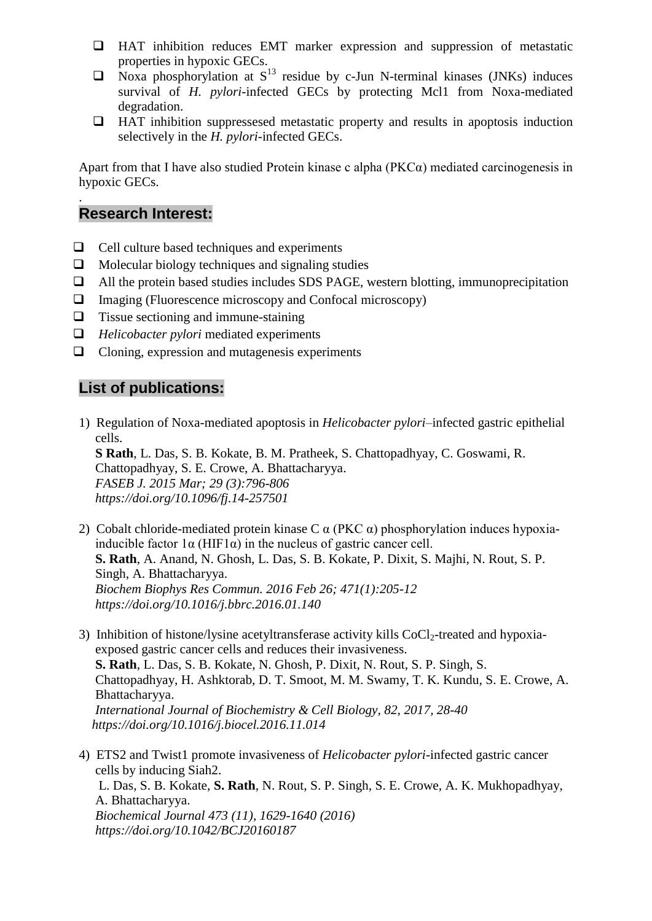- $\Box$  HAT inhibition reduces EMT marker expression and suppression of metastatic properties in hypoxic GECs.
- $\Box$  Noxa phosphorylation at  $S^{13}$  residue by c-Jun N-terminal kinases (JNKs) induces survival of *H. pylori*-infected GECs by protecting Mcl1 from Noxa-mediated degradation.
- $\Box$  HAT inhibition suppressesed metastatic property and results in apoptosis induction selectively in the *H. pylori*-infected GECs.

Apart from that I have also studied Protein kinase c alpha (PKCα) mediated carcinogenesis in hypoxic GECs.

# **Research Interest:**

.

- $\Box$  Cell culture based techniques and experiments
- $\Box$  Molecular biology techniques and signaling studies
- $\Box$  All the protein based studies includes SDS PAGE, western blotting, immunoprecipitation
- Imaging (Fluorescence microscopy and Confocal microscopy)
- $\Box$  Tissue sectioning and immune-staining
- *Helicobacter pylori* mediated experiments
- $\Box$  Cloning, expression and mutagenesis experiments

## **List of publications:**

- 1) Regulation of Noxa-mediated apoptosis in *Helicobacter pylori*–infected gastric epithelial cells. **S Rath**, L. Das, S. B. Kokate, B. M. Pratheek, S. Chattopadhyay, C. Goswami, R. Chattopadhyay, S. E. Crowe, A. Bhattacharyya.  *FASEB J. 2015 Mar; 29 (3):796-806 https://doi.org/10.1096/fj.14-257501*
- 2) Cobalt chloride-mediated protein kinase C  $\alpha$  (PKC  $\alpha$ ) phosphorylation induces hypoxiainducible factor  $1\alpha$  (HIF1 $\alpha$ ) in the nucleus of gastric cancer cell. **S. Rath**, A. Anand, N. Ghosh, L. Das, S. B. Kokate, P. Dixit, S. Majhi, N. Rout, S. P. Singh, A. Bhattacharyya.  *Biochem Biophys Res Commun. 2016 Feb 26; 471(1):205-12 https://doi.org/10.1016/j.bbrc.2016.01.140*
- 3) Inhibition of histone/lysine acetyltransferase activity kills  $CoCl<sub>2</sub>$ -treated and hypoxia exposed gastric cancer cells and reduces their invasiveness. **S. Rath**, L. Das, S. B. Kokate, N. Ghosh, P. Dixit, N. Rout, S. P. Singh, S. Chattopadhyay, H. Ashktorab, D. T. Smoot, M. M. Swamy, T. K. Kundu, S. E. Crowe, A. Bhattacharyya.  *International Journal of Biochemistry & Cell Biology, 82, 2017, 28-40 https://doi.org/10.1016/j.biocel.2016.11.014*
- 4) ETS2 and Twist1 promote invasiveness of *Helicobacter pylori*-infected gastric cancer cells by inducing Siah2. L. Das, S. B. Kokate, **S. Rath**, N. Rout, S. P. Singh, S. E. Crowe, A. K. Mukhopadhyay, A. Bhattacharyya.  *Biochemical Journal 473 (11), 1629-1640 (2016) https://doi.org/10.1042/BCJ20160187*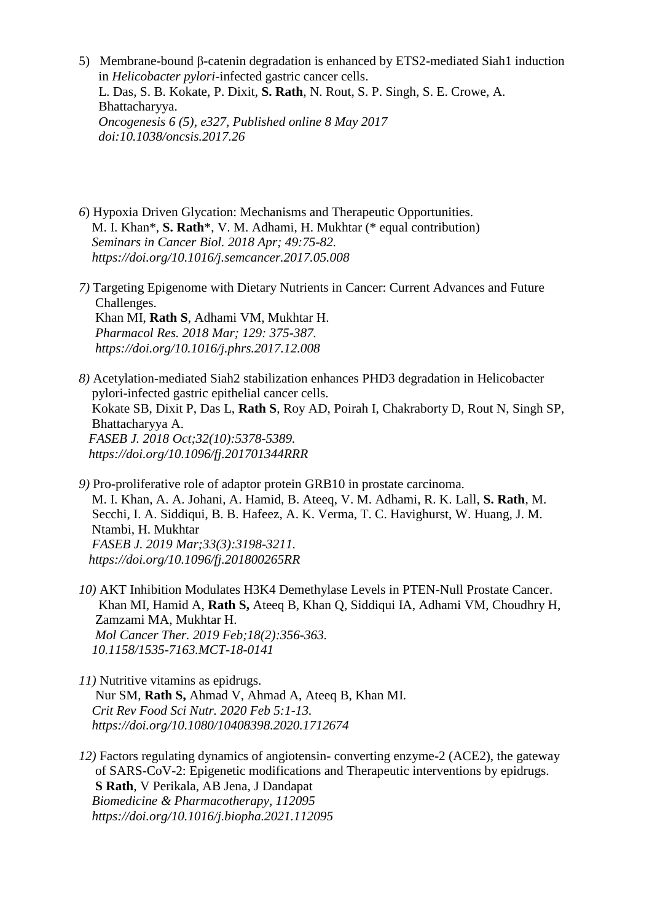- 5) Membrane-bound β-catenin degradation is enhanced by ETS2-mediated Siah1 induction in *Helicobacter pylori*-infected gastric cancer cells. L. Das, S. B. Kokate, P. Dixit, **S. Rath**, N. Rout, S. P. Singh, S. E. Crowe, A. Bhattacharyya.  *Oncogenesis 6 (5), e327, Published online 8 May 2017 doi:10.1038/oncsis.2017.26*
- *6*) Hypoxia Driven Glycation: Mechanisms and Therapeutic Opportunities. M. I. Khan\*, **S. Rath**\*, V. M. Adhami, H. Mukhtar (\* equal contribution)  *Seminars in Cancer Biol. 2018 Apr; 49:75-82. https://doi.org/10.1016/j.semcancer.2017.05.008*
- *7)* Targeting Epigenome with Dietary Nutrients in Cancer: Current Advances and Future Challenges. Khan MI, **Rath S**, Adhami VM, Mukhtar H.  *Pharmacol Res. 2018 Mar; 129: 375-387. https://doi.org/10.1016/j.phrs.2017.12.008*

*8)* Acetylation-mediated Siah2 stabilization enhances PHD3 degradation in Helicobacter pylori-infected gastric epithelial cancer cells. Kokate SB, Dixit P, Das L, **Rath S**, Roy AD, Poirah I, Chakraborty D, Rout N, Singh SP, Bhattacharyya A.  *FASEB J. 2018 Oct;32(10):5378-5389. https://doi.org/10.1096/fj.201701344RRR*

*9)* Pro-proliferative role of adaptor protein GRB10 in prostate carcinoma. M. I. Khan, A. A. Johani, A. Hamid, B. Ateeq, V. M. Adhami, R. K. Lall, **S. Rath**, M. Secchi, I. A. Siddiqui, B. B. Hafeez, A. K. Verma, T. C. Havighurst, W. Huang, J. M. Ntambi, H. Mukhtar  *FASEB J. 2019 Mar;33(3):3198-3211. https://doi.org/10.1096/fj.201800265RR*

- *10)* AKT Inhibition Modulates H3K4 Demethylase Levels in PTEN-Null Prostate Cancer. Khan MI, Hamid A, **Rath S,** Ateeq B, Khan Q, Siddiqui IA, Adhami VM, Choudhry H, Zamzami MA, Mukhtar H.  *Mol Cancer Ther. 2019 Feb;18(2):356-363. 10.1158/1535-7163.MCT-18-0141*
- *11)* Nutritive vitamins as epidrugs. Nur SM, **Rath S,** Ahmad V, Ahmad A, Ateeq B, Khan MI*. Crit Rev Food Sci Nutr. 2020 Feb 5:1-13. https://doi.org/10.1080/10408398.2020.1712674*
- *12)* Factors regulating dynamics of angiotensin- converting enzyme-2 (ACE2), the gateway of SARS-CoV-2: Epigenetic modifications and Therapeutic interventions by epidrugs.  **S Rath**, V Perikala, AB Jena, J Dandapat  *Biomedicine & Pharmacotherapy, 112095 https://doi.org/10.1016/j.biopha.2021.112095*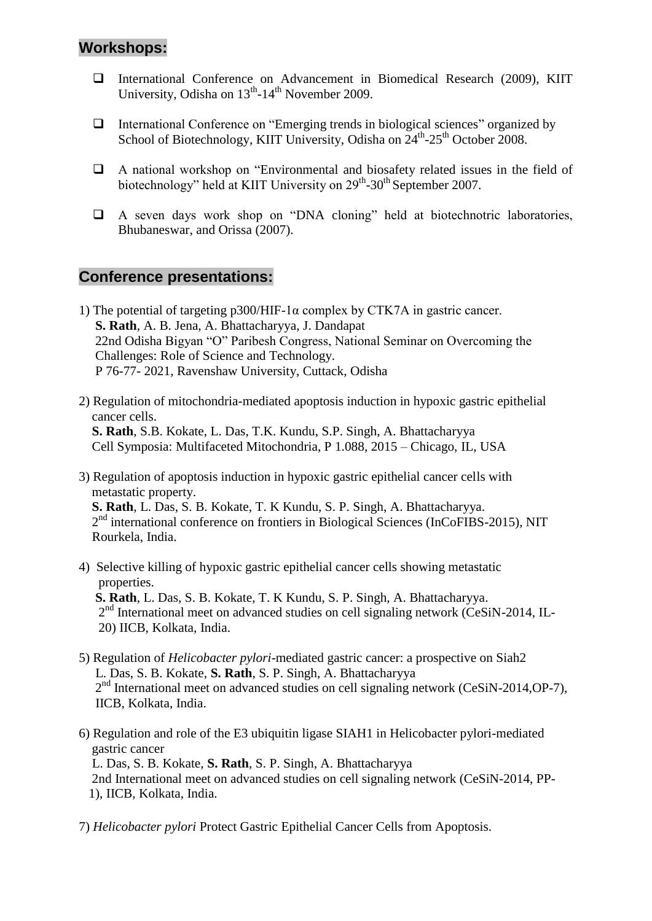# **Workshops:**

- International Conference on Advancement in Biomedical Research (2009), KIIT University, Odisha on 13<sup>th</sup>-14<sup>th</sup> November 2009.
- $\Box$  International Conference on "Emerging trends in biological sciences" organized by School of Biotechnology, KIIT University, Odisha on 24<sup>th</sup>-25<sup>th</sup> October 2008.
- A national workshop on "Environmental and biosafety related issues in the field of biotechnology" held at KIIT University on 29<sup>th</sup>-30<sup>th</sup> September 2007.
- A seven days work shop on "DNA cloning" held at biotechnotric laboratories, Bhubaneswar, and Orissa (2007).

### **Conference presentations:**

- 1) The potential of targeting p300/HIF-1 $\alpha$  complex by CTK7A in gastric cancer.  **S. Rath**, A. B. Jena, A. Bhattacharyya, J. Dandapat 22nd Odisha Bigyan "O" Paribesh Congress, National Seminar on Overcoming the Challenges: Role of Science and Technology. P 76-77- 2021, Ravenshaw University, Cuttack, Odisha
- 2) Regulation of mitochondria-mediated apoptosis induction in hypoxic gastric epithelial cancer cells. **S. Rath**, S.B. Kokate, L. Das, T.K. Kundu, S.P. Singh, A. Bhattacharyya Cell Symposia: Multifaceted Mitochondria, P 1.088, 2015 – Chicago, IL, USA
- 3) Regulation of apoptosis induction in hypoxic gastric epithelial cancer cells with metastatic property. **S. Rath**, L. Das, S. B. Kokate, T. K Kundu, S. P. Singh, A. Bhattacharyya. 2<sup>nd</sup> international conference on frontiers in Biological Sciences (InCoFIBS-2015), NIT Rourkela, India.
- 4) Selective killing of hypoxic gastric epithelial cancer cells showing metastatic properties.  **S. Rath**, L. Das, S. B. Kokate, T. K Kundu, S. P. Singh, A. Bhattacharyya. 2<sup>nd</sup> International meet on advanced studies on cell signaling network (CeSiN-2014, IL-20) IICB, Kolkata, India.
- 5) Regulation of *Helicobacter pylori*-mediated gastric cancer: a prospective on Siah2 L. Das, S. B. Kokate, **S. Rath**, S. P. Singh, A. Bhattacharyya 2<sup>nd</sup> International meet on advanced studies on cell signaling network (CeSiN-2014,OP-7), IICB, Kolkata, India.
- 6) Regulation and role of the E3 ubiquitin ligase SIAH1 in Helicobacter pylori-mediated gastric cancer L. Das, S. B. Kokate, **S. Rath**, S. P. Singh, A. Bhattacharyya 2nd International meet on advanced studies on cell signaling network (CeSiN-2014, PP- 1), IICB, Kolkata, India.
- 7) *Helicobacter pylori* Protect Gastric Epithelial Cancer Cells from Apoptosis.